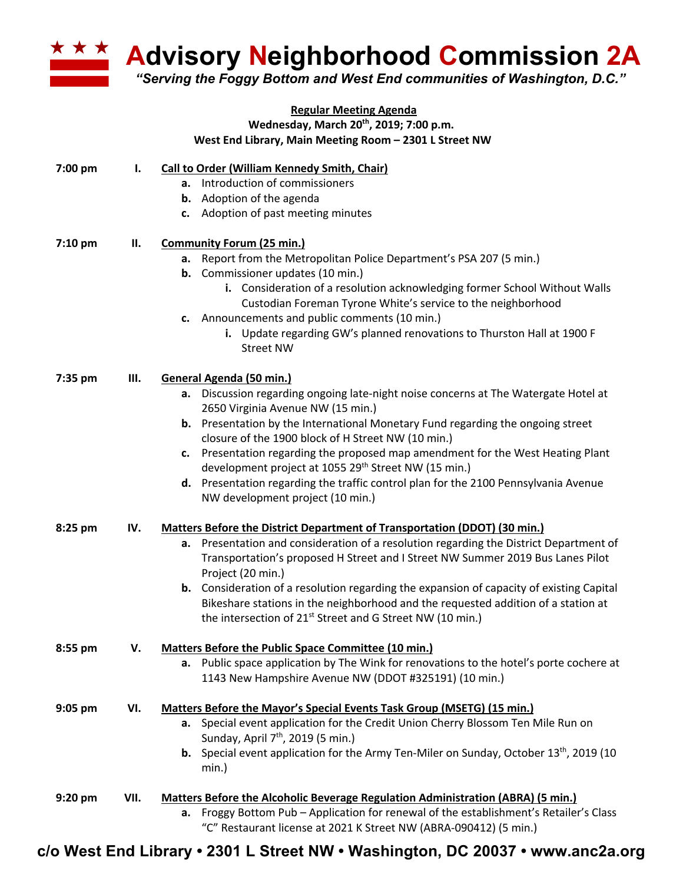

**Advisory Neighborhood Commission 2A**

*"Serving the Foggy Bottom and West End communities of Washington, D.C."*

|           |      | <b>Regular Meeting Agenda</b>                                                                    |
|-----------|------|--------------------------------------------------------------------------------------------------|
|           |      | Wednesday, March 20 <sup>th</sup> , 2019; 7:00 p.m.                                              |
|           |      | West End Library, Main Meeting Room - 2301 L Street NW                                           |
| 7:00 pm   | Ι.   | Call to Order (William Kennedy Smith, Chair)                                                     |
|           |      | a. Introduction of commissioners                                                                 |
|           |      | <b>b.</b> Adoption of the agenda                                                                 |
|           |      | c. Adoption of past meeting minutes                                                              |
| 7:10 pm   | П.   | <b>Community Forum (25 min.)</b>                                                                 |
|           |      | Report from the Metropolitan Police Department's PSA 207 (5 min.)<br>а.                          |
|           |      | <b>b.</b> Commissioner updates (10 min.)                                                         |
|           |      | i. Consideration of a resolution acknowledging former School Without Walls                       |
|           |      | Custodian Foreman Tyrone White's service to the neighborhood                                     |
|           |      | c. Announcements and public comments (10 min.)                                                   |
|           |      | i. Update regarding GW's planned renovations to Thurston Hall at 1900 F                          |
|           |      | <b>Street NW</b>                                                                                 |
| 7:35 pm   | Ш.   | General Agenda (50 min.)                                                                         |
|           |      | Discussion regarding ongoing late-night noise concerns at The Watergate Hotel at<br>а.           |
|           |      | 2650 Virginia Avenue NW (15 min.)                                                                |
|           |      | <b>b.</b> Presentation by the International Monetary Fund regarding the ongoing street           |
|           |      | closure of the 1900 block of H Street NW (10 min.)                                               |
|           |      | c. Presentation regarding the proposed map amendment for the West Heating Plant                  |
|           |      | development project at 1055 29 <sup>th</sup> Street NW (15 min.)                                 |
|           |      | d. Presentation regarding the traffic control plan for the 2100 Pennsylvania Avenue              |
|           |      | NW development project (10 min.)                                                                 |
| 8:25 pm   | IV.  | Matters Before the District Department of Transportation (DDOT) (30 min.)                        |
|           |      | Presentation and consideration of a resolution regarding the District Department of<br>а.        |
|           |      | Transportation's proposed H Street and I Street NW Summer 2019 Bus Lanes Pilot                   |
|           |      | Project (20 min.)                                                                                |
|           |      | <b>b.</b> Consideration of a resolution regarding the expansion of capacity of existing Capital  |
|           |      | Bikeshare stations in the neighborhood and the requested addition of a station at                |
|           |      | the intersection of 21 <sup>st</sup> Street and G Street NW (10 min.)                            |
| 8:55 pm   | V.   | <b>Matters Before the Public Space Committee (10 min.)</b>                                       |
|           |      | a. Public space application by The Wink for renovations to the hotel's porte cochere at          |
|           |      | 1143 New Hampshire Avenue NW (DDOT #325191) (10 min.)                                            |
| 9:05 pm   | VI.  | Matters Before the Mayor's Special Events Task Group (MSETG) (15 min.)                           |
|           |      | a. Special event application for the Credit Union Cherry Blossom Ten Mile Run on                 |
|           |      | Sunday, April 7 <sup>th</sup> , 2019 (5 min.)                                                    |
|           |      | <b>b.</b> Special event application for the Army Ten-Miler on Sunday, October $13th$ , 2019 (10) |
|           |      | min.)                                                                                            |
| $9:20$ pm | VII. | <b>Matters Before the Alcoholic Beverage Regulation Administration (ABRA) (5 min.)</b>           |
|           |      | a. Froggy Bottom Pub - Application for renewal of the establishment's Retailer's Class           |
|           |      | "C" Restaurant license at 2021 K Street NW (ABRA-090412) (5 min.)                                |

**c/o West End Library • 2301 L Street NW • Washington, DC 20037 • www.anc2a.org**